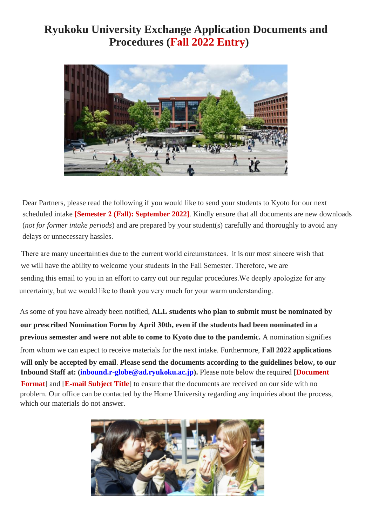# **Ryukoku University Exchange Application Documents and Procedures (Fall 2022 Entry)**



Dear Partners, please read the following if you would like to send your students to Kyoto for our next scheduled intake **[Semester 2 (Fall): September 2022]**. Kindly ensure that all documents are new downloads (*not for former intake periods*) and are prepared by your student(s) carefully and thoroughly to avoid any delays or unnecessary hassles.

There are many uncertainties due to the current world circumstances. it is our most sincere wish that we will have the ability to welcome your students in the Fall Semester. Therefore, we are sending this email to you in an effort to carry out our regular procedures.We deeply apologize for any uncertainty, but we would like to thank you very much for your warm understanding.

As some of you have already been notified, **ALL students who plan to submit must be nominated by our prescribed Nomination Form by April 30th, even if the students had been nominated in a previous semester and were not able to come to Kyoto due to the pandemic.** A nomination signifies from whom we can expect to receive materials for the next intake. Furthermore, **Fall 2022 applications will only be accepted by email**. **Please send the documents according to the guidelines below, to our Inbound Staff at: (inbound.r-globe@ad.ryukoku.ac.jp).** Please note below the required [**Document Format**] and [**E-mail Subject Title**] to ensure that the documents are received on our side with no problem. Our office can be contacted by the Home University regarding any inquiries about the process, which our materials do not answer.

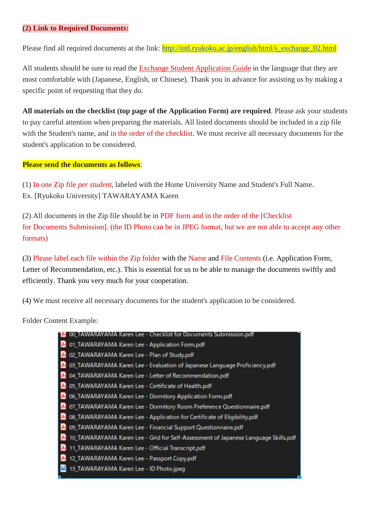### **(2) Link to Required Documents:**

Please find all required documents at the link: [http://intl.ryukoku.ac.jp/english/html/s\\_exchange\\_02.html](http://intl.ryukoku.ac.jp/english/html/s_exchange_02.html)

All students should be sure to read the Exchange Student Application Guide in the language that they are most comfortable with (Japanese, English, or Chinese). Thank you in advance for assisting us by making a specific point of requesting that they do.

**All materials on the checklist (top page of the Application Form) are required**. Please ask your students to pay careful attention when preparing the materials. All listed documents should be included in a zip file with the Student's name, and in the order of the checklist. We must receive all necessary documents for the student's application to be considered.

#### **Please send the documents as follows**:

(1) In one Zip file *per student*, labeled with the Home University Name and Student's Full Name. Ex. [Ryukoku University] TAWARAYAMA Karen

(2) All documents in the Zip file should be in PDF form and in the order of the [Checklist for Documents Submission]. (the ID Photo can be in JPEG format, but we are not able to accept any other formats)

(3) Please label each file within the Zip folder with the Name and File Contents (i.e. Application Form, Letter of Recommendation, etc.). This is essential for us to be able to manage the documents swiftly and efficiently. Thank you very much for your cooperation.

(4) We must receive all necessary documents for the student's application to be considered.

Folder Content Example:

| 00_TAWARAYAMA Karen Lee - Checklist for Documents Submission.pdf                   |
|------------------------------------------------------------------------------------|
| 01_TAWARAYAMA Karen Lee - Application Form.pdf                                     |
| 02_TAWARAYAMA Karen Lee - Plan of Study.pdf                                        |
| 03_TAWARAYAMA Karen Lee - Evaluation of Japanese Language Proficiency.pdf          |
| 04_TAWARAYAMA Karen Lee - Letter of Recommendation.pdf                             |
| 05_TAWARAYAMA Karen Lee - Certificate of Health.pdf                                |
| 06_TAWARAYAMA Karen Lee - Dormitory Application Form.pdf                           |
| 07_TAWARAYAMA Karen Lee - Dormitory Room Preference Questionnaire.pdf              |
| 08_TAWARAYAMA Karen Lee - Application for Certificate of Eligibility.pdf           |
| 09_TAWARAYAMA Karen Lee - Financial Support Questionnaire.pdf                      |
| 10_TAWARAYAMA Karen Lee - Grid for Self-Assessment of Japanese Language Skills.pdf |
| 11_TAWARAYAMA Karen Lee - Official Transcript.pdf                                  |
| 12_TAWARAYAMA Karen Lee - Passport Copy.pdf                                        |
| 13_TAWARAYAMA Karen Lee - ID Photo.jpeg                                            |
|                                                                                    |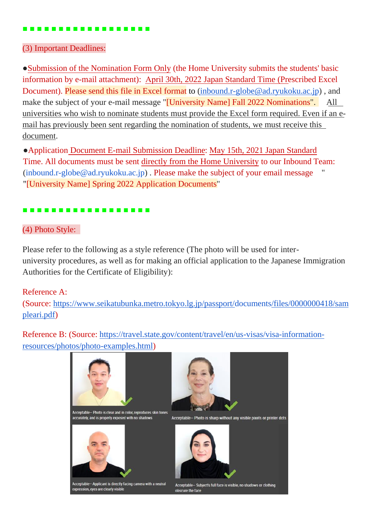## ■ ■ ■ ■ ■ ■ ■ ■ ■ ■ ■ ■ ■ ■ ■ ■ ■ ■

# (3) Important Deadlines:

●Submission of the Nomination Form Only (the Home University submits the students' basic information by e-mail attachment): April 30th, 2022 Japan Standard Time (Prescribed Excel Document). Please send this file in Excel format to [\(inbound.r-globe@ad.ryukoku.ac.jp\)](mailto:inbound.r-globe@ad.ryukoku.ac.jp), and make the subject of your e-mail message "*[University Name] Fall 2022 Nominations*". All universities who wish to nominate students must provide the Excel form required. Even if an email has previously been sent regarding the nomination of students, we must receive this document.

●Application Document E-mail Submission Deadline: May 15th, 2021 Japan Standard Time. All documents must be sent directly from the Home University to our Inbound Team: [\(inbound.r-globe@ad.ryukoku.ac.jp\)](mailto:inbound.r-globe@ad.ryukoku.ac.jp). Please make the subject of your email message "[University Name] Spring 2022 Application Documents"

# ■ ■ ■ ■ ■ ■ ■ ■ ■ ■ ■ ■ ■ ■ ■ ■ ■ ■

# (4) Photo Style:

Please refer to the following as a style reference (The photo will be used for interuniversity procedures, as well as for making an official application to the Japanese Immigration Authorities for the Certificate of Eligibility):

# Reference A:

(Source: [https://www.seikatubunka.metro.tokyo.lg.jp/passport/documents/files/0000000418/sam](https://nam10.safelinks.protection.outlook.com/?url=https%3A%2F%2Fwww.seikatubunka.metro.tokyo.lg.jp%2Fpassport%2Fdocuments%2Ffiles%2F0000000418%2Fsampleari.pdf&data=02%7C01%7CStebbins-C%40mssu.edu%7C0474f472d9844ff4aaf808d8699e75c4%7Ca601f9de219d44969e40b210f7135cd8%7C0%7C1%7C637375476609987753&sdata=kqg4XppETBfDaDpAgwBiWNqGwlSd5Xlh7AJEvyq9pjo%3D&reserved=0) [pleari.pdf\)](https://nam10.safelinks.protection.outlook.com/?url=https%3A%2F%2Fwww.seikatubunka.metro.tokyo.lg.jp%2Fpassport%2Fdocuments%2Ffiles%2F0000000418%2Fsampleari.pdf&data=02%7C01%7CStebbins-C%40mssu.edu%7C0474f472d9844ff4aaf808d8699e75c4%7Ca601f9de219d44969e40b210f7135cd8%7C0%7C1%7C637375476609987753&sdata=kqg4XppETBfDaDpAgwBiWNqGwlSd5Xlh7AJEvyq9pjo%3D&reserved=0)

Reference B: (Source: [https://travel.state.gov/content/travel/en/us-visas/visa-information](https://nam10.safelinks.protection.outlook.com/?url=https%3A%2F%2Ftravel.state.gov%2Fcontent%2Ftravel%2Fen%2Fus-visas%2Fvisa-information-resources%2Fphotos%2Fphoto-examples.html&data=02%7C01%7CStebbins-C%40mssu.edu%7C0474f472d9844ff4aaf808d8699e75c4%7Ca601f9de219d44969e40b210f7135cd8%7C0%7C1%7C637375476609987753&sdata=w%2BIDQCWRfrsutKKqFqABbUiihxAOwGUAn5DbPfl0fj8%3D&reserved=0)[resources/photos/photo-examples.html\)](https://nam10.safelinks.protection.outlook.com/?url=https%3A%2F%2Ftravel.state.gov%2Fcontent%2Ftravel%2Fen%2Fus-visas%2Fvisa-information-resources%2Fphotos%2Fphoto-examples.html&data=02%7C01%7CStebbins-C%40mssu.edu%7C0474f472d9844ff4aaf808d8699e75c4%7Ca601f9de219d44969e40b210f7135cd8%7C0%7C1%7C637375476609987753&sdata=w%2BIDQCWRfrsutKKqFqABbUiihxAOwGUAn5DbPfl0fj8%3D&reserved=0)